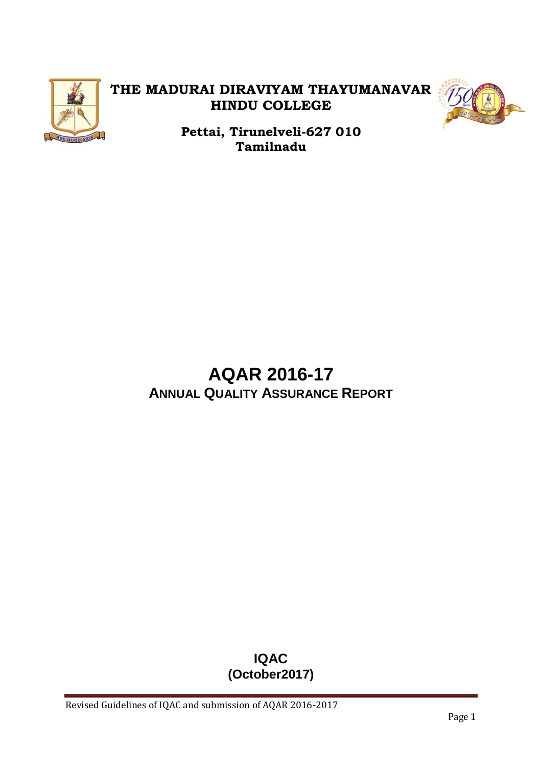

# **THE MADURAI DIRAVIYAM THAYUMANAVAR HINDU COLLEGE**



**Pettai, Tirunelveli-627 010 Tamilnadu**

# **AQAR 2016-17 ANNUAL QUALITY ASSURANCE REPORT**

# **IQAC (October2017)**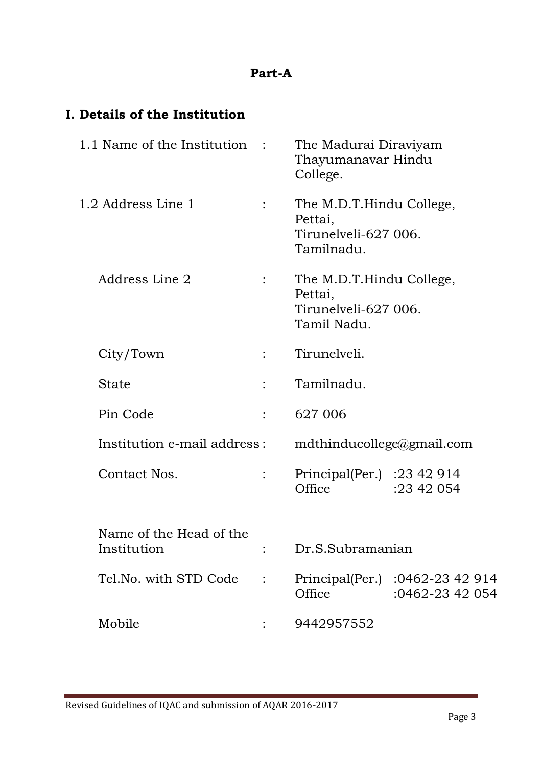### **Part-A**

## **I. Details of the Institution**

| 1.1 Name of the Institution :          |                | The Madurai Diraviyam<br>Thayumanavar Hindu<br>College.                    |                                                    |  |
|----------------------------------------|----------------|----------------------------------------------------------------------------|----------------------------------------------------|--|
| 1.2 Address Line 1                     | $\ddot{\cdot}$ | The M.D.T.Hindu College,<br>Pettai,<br>Tirunelveli-627 006.<br>Tamilnadu.  |                                                    |  |
| Address Line 2                         |                | The M.D.T.Hindu College,<br>Pettai,<br>Tirunelyeli-627 006.<br>Tamil Nadu. |                                                    |  |
| City/Town                              |                | Tirunelveli.                                                               |                                                    |  |
| State                                  |                | Tamilnadu.                                                                 |                                                    |  |
| Pin Code                               |                | 627 006                                                                    |                                                    |  |
| Institution e-mail address:            |                | mdthinducollege@gmail.com                                                  |                                                    |  |
| Contact Nos.                           |                | Principal(Per.) : $23\,42\,914$<br>Office                                  | :23 42 054                                         |  |
| Name of the Head of the<br>Institution |                | Dr.S.Subramanian                                                           |                                                    |  |
| Tel.No. with STD Code                  |                | Office                                                                     | Principal(Per.) :0462-23 42 914<br>:0462-23 42 054 |  |
| Mobile                                 |                | 9442957552                                                                 |                                                    |  |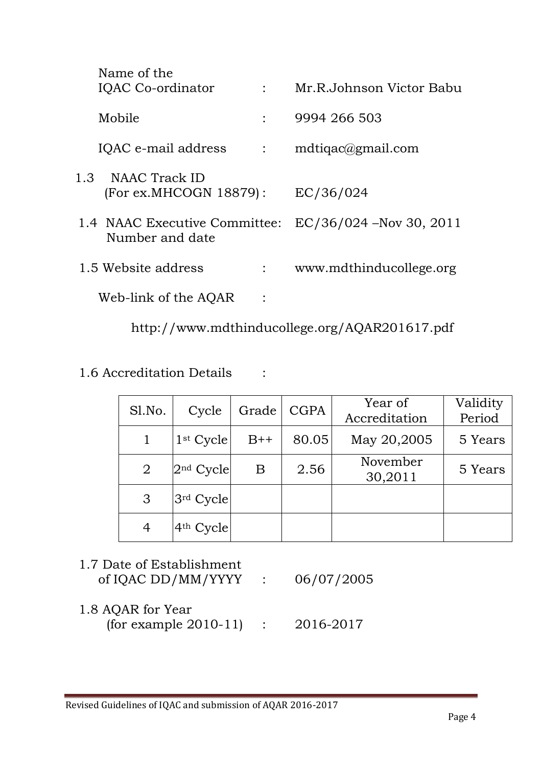| Name of the<br>IQAC Co-ordinator                 | $\mathbb{R}^n$ | Mr.R.Johnson Victor Babu  |
|--------------------------------------------------|----------------|---------------------------|
| Mobile                                           |                | 9994 266 503              |
| IQAC e-mail address                              | $\mathcal{L}$  | $mdtiqac \& gmail.com$    |
| 1.3 NAAC Track ID<br>(For ex.MHCOGN 18879):      |                | EC/36/024                 |
| 1.4 NAAC Executive Committee:<br>Number and date |                | $EC/36/024$ –Nov 30, 2011 |
| 1.5 Website address                              |                | www.mdthinducollege.org   |
| Web-link of the AQAR                             |                |                           |

http://www.mdthinducollege.org/AQAR201617.pdf

# 1.6 Accreditation Details :

| Sl.No.         | Cycle       | Grade | <b>CGPA</b> | Year of<br>Accreditation | Validity<br>Period |
|----------------|-------------|-------|-------------|--------------------------|--------------------|
|                | $1st$ Cycle | $B++$ | 80.05       | May 20,2005              | 5 Years            |
| $\overline{2}$ | $2nd$ Cycle | B     | 2.56        | November<br>30,2011      | 5 Years            |
| 3              | 3rd Cycle   |       |             |                          |                    |
| 4              | $4th$ Cycle |       |             |                          |                    |

| 1.7 Date of Establishment<br>of IQAC DD/MM/YYYY : $06/07/2005$ |  |
|----------------------------------------------------------------|--|
| 1.8 AOAR for Year                                              |  |

| $1.0 \; \mathrm{N}$ לות וטו בכ $1$ |           |
|------------------------------------|-----------|
| (for example $2010-11$ )           | 2016-2017 |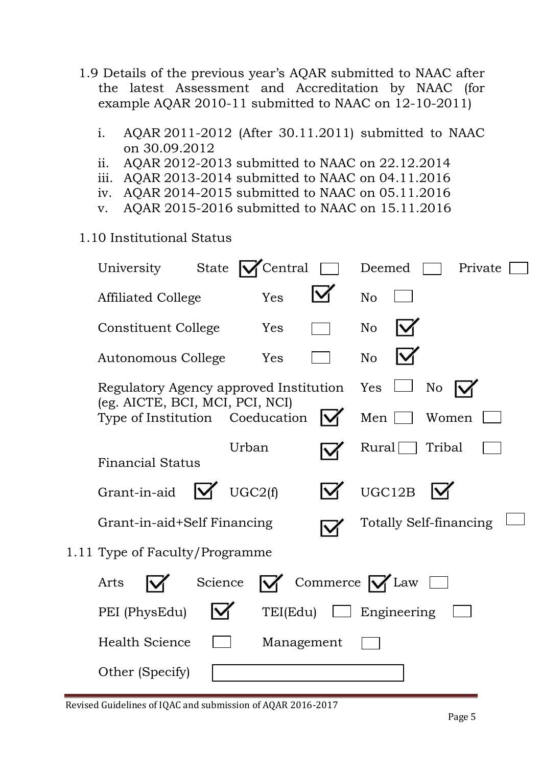- 1.9 Details of the previous year's AQAR submitted to NAAC after the latest Assessment and Accreditation by NAAC (for example AQAR 2010-11 submitted to NAAC on 12-10-2011)
	- i. AQAR 2011-2012 (After 30.11.2011) submitted to NAAC on 30.09.2012
	- ii. AQAR 2012-2013 submitted to NAAC on 22.12.2014
	- iii. AQAR 2013-2014 submitted to NAAC on 04.11.2016
	- iv. AQAR 2014-2015 submitted to NAAC on 05.11.2016
	- v. AQAR 2015-2016 submitted to NAAC on 15.11.2016
- 1.10 Institutional Status

| University<br>State $\vert$                                                   | Central    |              | Deemed<br>Private             |
|-------------------------------------------------------------------------------|------------|--------------|-------------------------------|
| Affiliated College                                                            | Yes        |              | No                            |
| Constituent College                                                           | Yes        |              | N <sub>o</sub>                |
| Autonomous College                                                            | Yes        |              | N <sub>o</sub>                |
| Regulatory Agency approved Institution Yes<br>(eg. AICTE, BCI, MCI, PCI, NCI) |            |              | No                            |
| Type of Institution Coeducation                                               |            | IV           | Men<br>Women                  |
| <b>Financial Status</b>                                                       | Urban      |              | Tribal<br>Rural               |
| Grant-in-aid                                                                  | UGC2(f)    |              | UGC12B                        |
| Grant-in-aid+Self Financing                                                   |            |              | <b>Totally Self-financing</b> |
| 1.11 Type of Faculty/Programme                                                |            |              |                               |
| Science<br>Arts                                                               |            |              | Commerce $\bigvee$ Law        |
| PEI (PhysEdu)                                                                 | TEI(Edu)   | $\mathbf{1}$ | Engineering                   |
| <b>Health Science</b>                                                         | Management |              |                               |
| Other (Specify)                                                               |            |              |                               |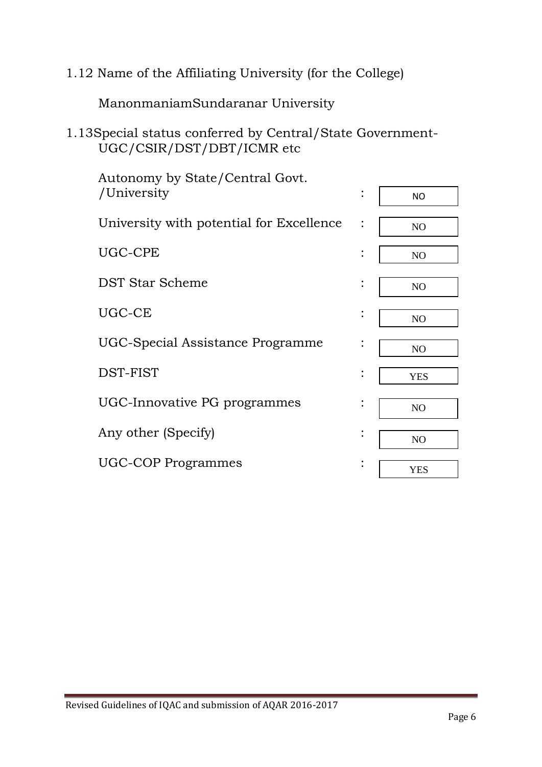1.12 Name of the Affiliating University (for the College)

ManonmaniamSundaranar University

# 1.13Special status conferred by Central/State Government-UGC/CSIR/DST/DBT/ICMR etc

| Autonomy by State/Central Govt.<br>/University | $\ddot{\cdot}$ | <b>NO</b>      |
|------------------------------------------------|----------------|----------------|
|                                                |                |                |
| University with potential for Excellence       |                | NO             |
| UGC-CPE                                        | $\ddot{\cdot}$ | N <sub>O</sub> |
| DST Star Scheme                                | $\bullet$      | N <sub>O</sub> |
| UGC-CE                                         | $\bullet$      | N <sub>O</sub> |
| UGC-Special Assistance Programme               | $\ddot{\cdot}$ | NO             |
|                                                |                |                |
| DST-FIST                                       |                | <b>YES</b>     |
| UGC-Innovative PG programmes                   | $\bullet$      | NO             |
| Any other (Specify)                            | $\ddot{\cdot}$ | N <sub>O</sub> |
|                                                |                |                |
| <b>UGC-COP Programmes</b>                      | $\bullet$      | <b>YES</b>     |
|                                                |                |                |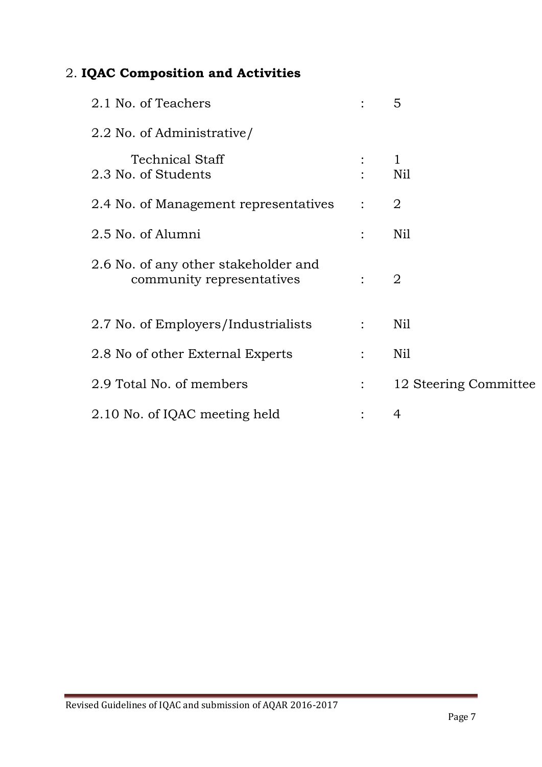# 2. **IQAC Composition and Activities**

| 2.1 No. of Teachers                                               |                | 5                     |
|-------------------------------------------------------------------|----------------|-----------------------|
| 2.2 No. of Administrative/                                        |                |                       |
| <b>Technical Staff</b><br>2.3 No. of Students                     |                | $\mathbf{1}$<br>Nil   |
| 2.4 No. of Management representatives                             | $\ddot{\cdot}$ | $\overline{2}$        |
| 2.5 No. of Alumni                                                 |                | Nil                   |
| 2.6 No. of any other stakeholder and<br>community representatives |                | $\overline{2}$        |
| 2.7 No. of Employers/Industrialists                               | $\ddot{\cdot}$ | Nil                   |
| 2.8 No of other External Experts                                  |                | Nil                   |
| 2.9 Total No. of members                                          |                | 12 Steering Committee |
| 2.10 No. of IQAC meeting held                                     |                | 4                     |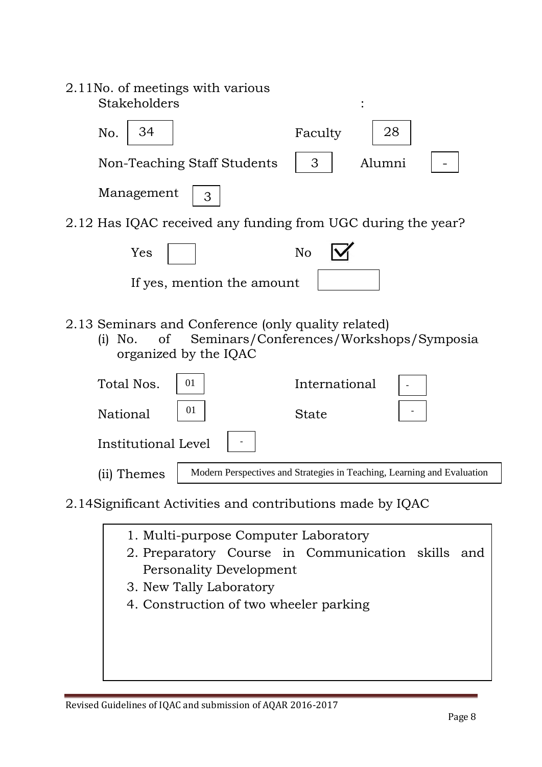| 2.11No. of meetings with various<br>Stakeholders                                                                                            |
|---------------------------------------------------------------------------------------------------------------------------------------------|
| 28<br>34<br>No.<br>Faculty                                                                                                                  |
| Non-Teaching Staff Students<br>3<br>Alumni                                                                                                  |
| Management<br>3                                                                                                                             |
| 2.12 Has IQAC received any funding from UGC during the year?                                                                                |
| N <sub>o</sub><br>Yes                                                                                                                       |
| If yes, mention the amount                                                                                                                  |
| 2.13 Seminars and Conference (only quality related)<br>Seminars/Conferences/Workshops/Symposia<br>of<br>No.<br>(i)<br>organized by the IQAC |
| Total Nos.<br>International<br>01                                                                                                           |
| 01<br>National<br><b>State</b>                                                                                                              |
| <b>Institutional Level</b>                                                                                                                  |
| Modern Perspectives and Strategies in Teaching, Learning and Evaluation<br>(ii) Themes                                                      |
| 2.14 Significant Activities and contributions made by IQAC                                                                                  |

- 1. Multi-purpose Computer Laboratory
- 2. Preparatory Course in Communication skills and 9. Mr. A.SEETHARAMAN, M.A, M.Phil MEMBER Personality Development
- 3. New Tally Laboratory
- 4. Construction of two wheeler parking

Asst. Professor of Economics

Office Superintendent

Asst. Prof. and Head, Dept. of Chemistry

8. Mr. S.ELANGO SUBRAMANIAN, M.Sc, M.Phil MEMBER

10. Ms. S.KAVITHA, M.Sc, M.Phil, M.A, M.Ed MEMBER

11. Mr. V.T.S.NATARAJAN MEMBER

12. Mr. R.J.O. B.J.O. B.J.O. B.J.O. B.J.O. B.J.O. B.J.O. B.J.O. B.J.O. B.J.O. B.J.O. B.J.O. B.J.O. B.J.O. B.J.

Asst. Prof. and Head, Dept. of English MEMBER SECRETARY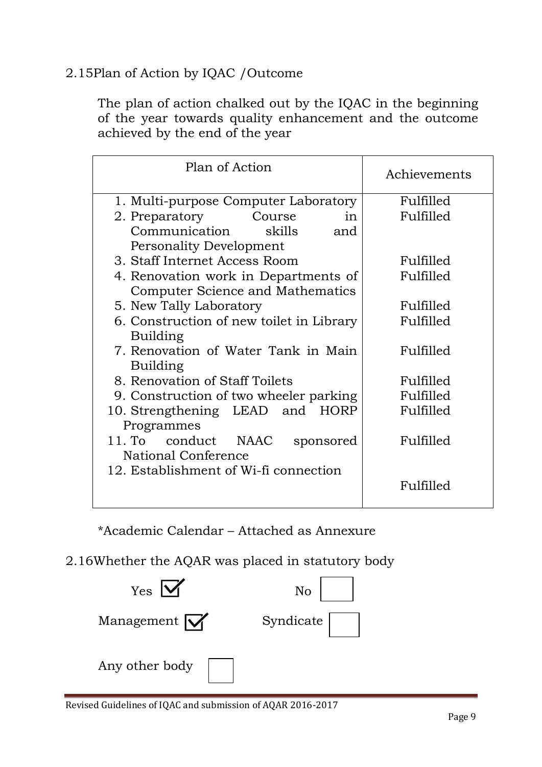### 2.15Plan of Action by IQAC /Outcome

The plan of action chalked out by the IQAC in the beginning of the year towards quality enhancement and the outcome achieved by the end of the year

| Plan of Action                           | Achievements |
|------------------------------------------|--------------|
| 1. Multi-purpose Computer Laboratory     | Fulfilled    |
| 2. Preparatory<br>Course<br>$\mathbf{m}$ | Fulfilled    |
| Communication<br>skills<br>and           |              |
| <b>Personality Development</b>           |              |
| 3. Staff Internet Access Room            | Fulfilled    |
| 4. Renovation work in Departments of     | Fulfilled    |
| Computer Science and Mathematics         |              |
| 5. New Tally Laboratory                  | Fulfilled    |
| 6. Construction of new toilet in Library | Fulfilled    |
| Building                                 |              |
| 7. Renovation of Water Tank in Main      | Fulfilled    |
| <b>Building</b>                          |              |
| 8. Renovation of Staff Toilets           | Fulfilled    |
| 9. Construction of two wheeler parking   | Fulfilled    |
| 10. Strengthening LEAD and HORP          | Fulfilled    |
| Programmes                               |              |
| 11. To conduct NAAC<br>sponsored         | Fulfilled    |
| National Conference                      |              |
| 12. Establishment of Wi-fi connection    |              |
|                                          | Fulfilled    |
|                                          |              |

\*Academic Calendar – Attached as Annexure

# 2.16Whether the AQAR was placed in statutory body

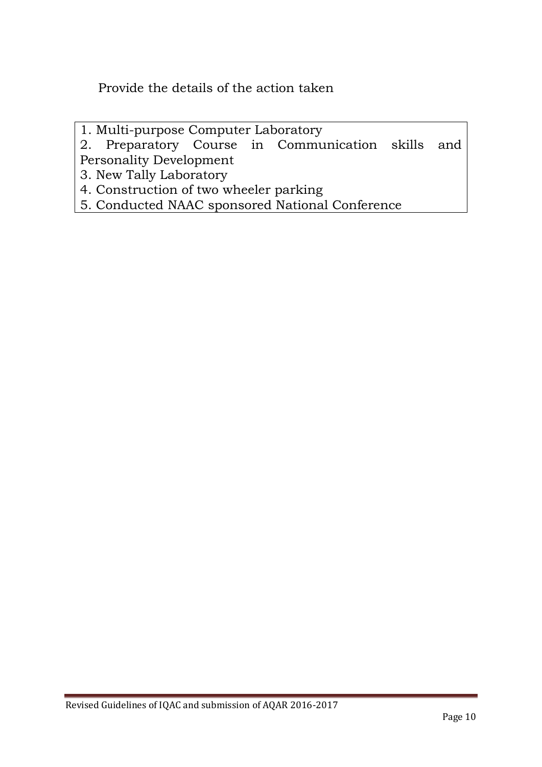Provide the details of the action taken

1. Multi-purpose Computer Laboratory

2. Preparatory Course in Communication skills and Personality Development

3. New Tally Laboratory

4. Construction of two wheeler parking

5. Conducted NAAC sponsored National Conference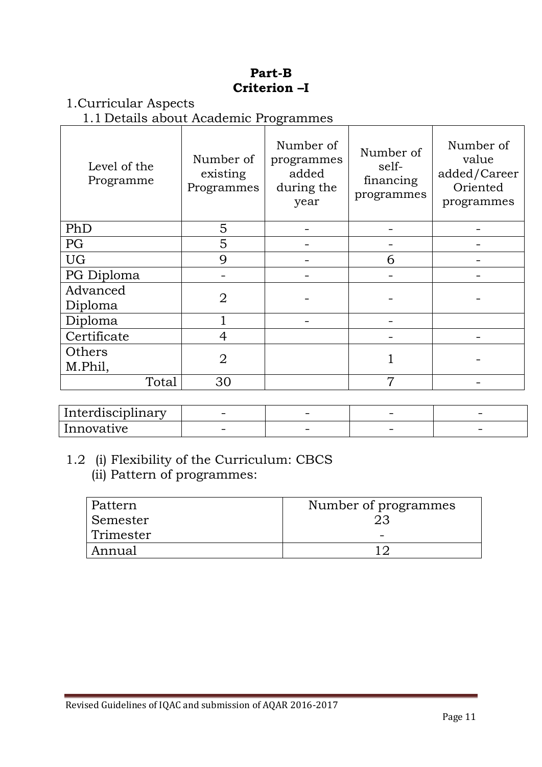#### **Part-B Criterion –I**

#### 1.Curricular Aspects

1.1 Details about Academic Programmes

| Level of the<br>Programme | Number of<br>existing<br>Programmes | Number of<br>programmes<br>added<br>during the<br>year | Number of<br>self-<br>financing<br>programmes | Number of<br>value<br>added/Career<br>Oriented<br>programmes |
|---------------------------|-------------------------------------|--------------------------------------------------------|-----------------------------------------------|--------------------------------------------------------------|
| PhD                       | 5                                   |                                                        |                                               |                                                              |
| PG                        | 5                                   |                                                        |                                               |                                                              |
| <b>UG</b>                 | 9                                   |                                                        | 6                                             |                                                              |
| PG Diploma                |                                     |                                                        |                                               |                                                              |
| Advanced<br>Diploma       | $\overline{2}$                      |                                                        |                                               |                                                              |
| Diploma                   |                                     |                                                        |                                               |                                                              |
| Certificate               | 4                                   |                                                        |                                               |                                                              |
| Others                    | $\overline{2}$                      |                                                        |                                               |                                                              |
| M.Phil,                   |                                     |                                                        |                                               |                                                              |
| Total                     | 30                                  |                                                        | 7                                             |                                                              |

| . .<br>Interdisciplinary | $\overline{\phantom{0}}$ | $\overline{\phantom{a}}$ | $\overline{\phantom{0}}$ |  |
|--------------------------|--------------------------|--------------------------|--------------------------|--|
| Innovative               | $\overline{\phantom{a}}$ | $\overline{\phantom{a}}$ |                          |  |

### 1.2 (i) Flexibility of the Curriculum: CBCS (ii) Pattern of programmes:

| Pattern   | Number of programmes |
|-----------|----------------------|
| Semester  | 23                   |
| Trimester |                      |
| Annual    |                      |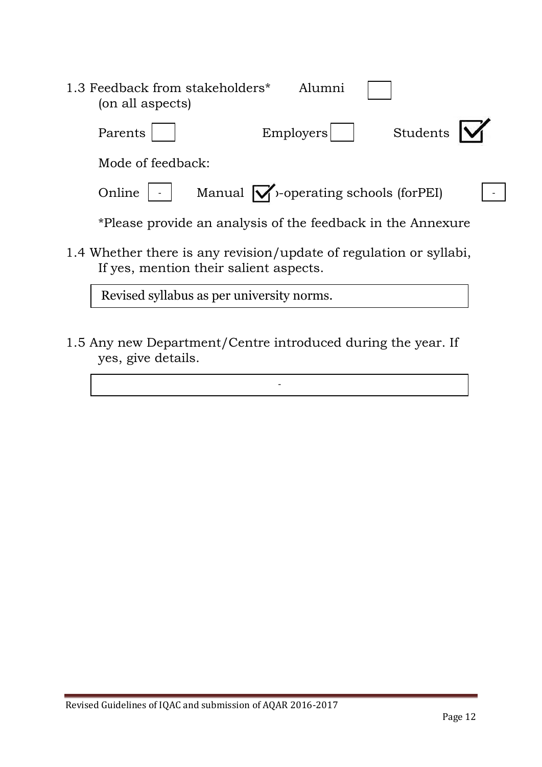| 1.3 Feedback from stakeholders*<br>Alumni<br>(on all aspects)                                                |  |
|--------------------------------------------------------------------------------------------------------------|--|
| Students<br>Employers<br>Parents                                                                             |  |
| Mode of feedback:                                                                                            |  |
| Manual $\mathcal{V}$ -operating schools (for PEI)<br>Online                                                  |  |
| *Please provide an analysis of the feedback in the Annexure                                                  |  |
| 1.4 Whether there is any revision/update of regulation or syllabi,<br>If yes, mention their salient aspects. |  |
| Revised syllabus as per university norms.                                                                    |  |

1.5 Any new Department/Centre introduced during the year. If yes, give details.

-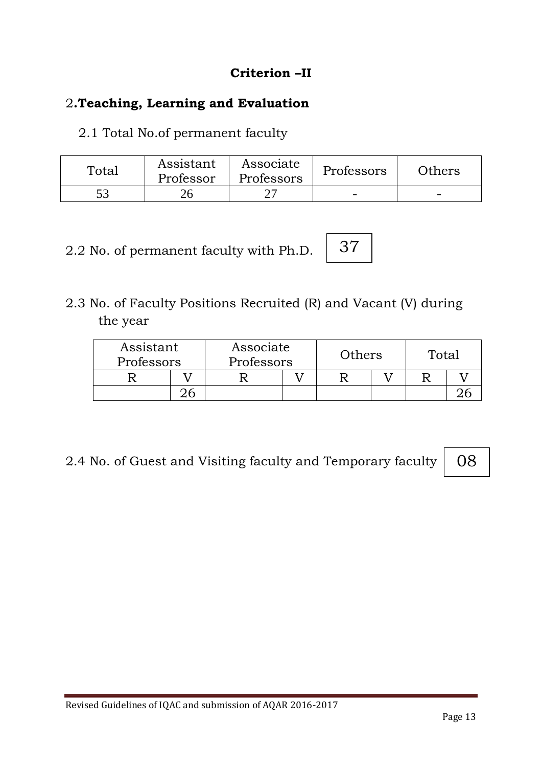# **Criterion –II**

# 2**.Teaching, Learning and Evaluation**

2.1 Total No.of permanent faculty

| Total | Assistant<br>Professor | Associate<br>Professors | Professors | Others |
|-------|------------------------|-------------------------|------------|--------|
|       |                        |                         | -          | -      |

2.2 No. of permanent faculty with Ph.D.

2.3 No. of Faculty Positions Recruited (R) and Vacant (V) during the year

| Assistant<br>Professors | Associate<br>Others<br>Professors |  |  |  | Total |  |  |
|-------------------------|-----------------------------------|--|--|--|-------|--|--|
|                         |                                   |  |  |  |       |  |  |
|                         |                                   |  |  |  |       |  |  |

37

2.4 No. of Guest and Visiting faculty and Temporary faculty

08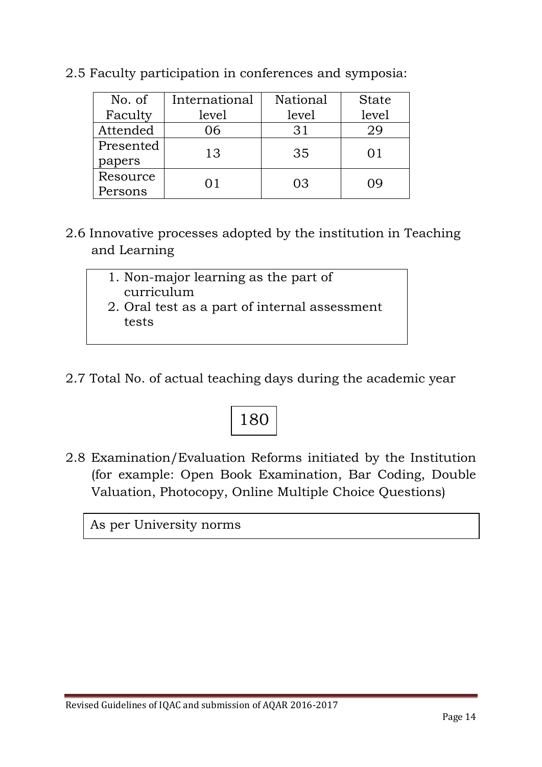| No. of    | International | National | <b>State</b> |  |
|-----------|---------------|----------|--------------|--|
| Faculty   | level         | level    | level        |  |
| Attended  | 06            | 31       | 29           |  |
| Presented | 13            | 35       | $()$ ]       |  |
| papers    |               |          |              |  |
| Resource  | ( ) 1         | 03       | ( ) Q        |  |
| Persons   |               |          |              |  |

2.5 Faculty participation in conferences and symposia:

- 2.6 Innovative processes adopted by the institution in Teaching and Learning
	- 1. Non-major learning as the part of curriculum
	- 2. Oral test as a part of internal assessment tests
- 2.7 Total No. of actual teaching days during the academic year



2.8 Examination/Evaluation Reforms initiated by the Institution (for example: Open Book Examination, Bar Coding, Double Valuation, Photocopy, Online Multiple Choice Questions)

As per University norms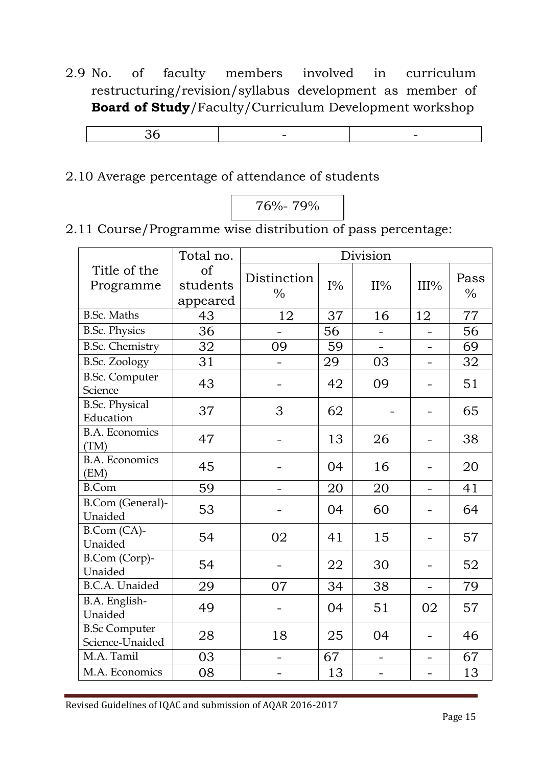2.9 No. of faculty members involved in curriculum restructuring/revision/syllabus development as member of **Board of Study**/Faculty/Curriculum Development workshop

2.10 Average percentage of attendance of students

76%- 79%

2.11 Course/Programme wise distribution of pass percentage:

|                                         | Total no.                  |                              |       | Division                 |                          |              |
|-----------------------------------------|----------------------------|------------------------------|-------|--------------------------|--------------------------|--------------|
| Title of the<br>Programme               | of<br>students<br>appeared | Distinction<br>$\frac{0}{0}$ | $I\%$ | $II\%$                   | III%                     | Pass<br>$\%$ |
| <b>B.Sc. Maths</b>                      | 43                         | 12                           | 37    | 16                       | 12                       | 77           |
| <b>B.Sc. Physics</b>                    | 36                         |                              | 56    |                          |                          | 56           |
| <b>B.Sc. Chemistry</b>                  | 32                         | 09                           | 59    |                          |                          | 69           |
| <b>B.Sc. Zoology</b>                    | 31                         |                              | 29    | 03                       |                          | 32           |
| <b>B.Sc. Computer</b><br>Science        | 43                         |                              | 42    | 09                       |                          | 51           |
| <b>B.Sc. Physical</b><br>Education      | 37                         | 3                            | 62    |                          |                          | 65           |
| <b>B.A. Economics</b><br>(TM)           | 47                         |                              | 13    | 26                       |                          | 38           |
| <b>B.A. Economics</b><br>(EM)           | 45                         |                              | 04    | 16                       |                          | 20           |
| <b>B.Com</b>                            | 59                         |                              | 20    | 20                       | $\overline{\phantom{0}}$ | 41           |
| B.Com (General)-<br>Unaided             | 53                         |                              | 04    | 60                       |                          | 64           |
| B.Com (CA)-<br>Unaided                  | 54                         | 02                           | 41    | 15                       |                          | 57           |
| B.Com (Corp)-<br>Unaided                | 54                         |                              | 22    | 30                       | -                        | 52           |
| <b>B.C.A.</b> Unaided                   | 29                         | 07                           | 34    | 38                       | $\qquad \qquad -$        | 79           |
| B.A. English-<br>Unaided                | 49                         |                              | 04    | 51                       | 02                       | 57           |
| <b>B.Sc Computer</b><br>Science-Unaided | 28                         | 18                           | 25    | 04                       |                          | 46           |
| M.A. Tamil                              | 03                         | $\overline{\phantom{0}}$     | 67    | $\overline{\phantom{0}}$ | $\overline{\phantom{0}}$ | 67           |
| M.A. Economics                          | 08                         |                              | 13    |                          |                          | 13           |

Revised Guidelines of IQAC and submission of AQAR 2016-2017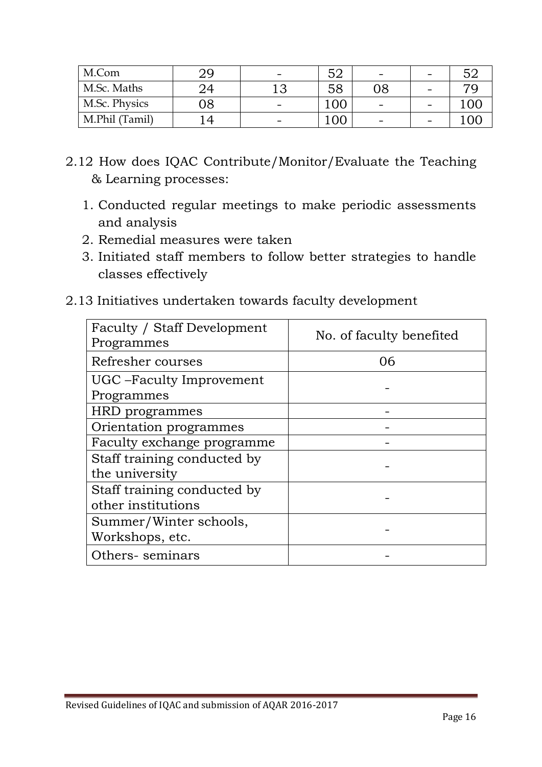| M.Com          |    | $\overline{\phantom{0}}$ | ヒヘ  | $\overline{\phantom{a}}$ | $\overline{\phantom{0}}$ |      |
|----------------|----|--------------------------|-----|--------------------------|--------------------------|------|
| M.Sc. Maths    |    |                          | 58  | 08                       | -                        |      |
| M.Sc. Physics  | 08 | -                        | 100 |                          | -                        | ' OC |
| M.Phil (Tamil) |    | -                        | 100 |                          | -                        |      |

- 2.12 How does IQAC Contribute/Monitor/Evaluate the Teaching & Learning processes:
	- 1. Conducted regular meetings to make periodic assessments and analysis
	- 2. Remedial measures were taken
	- 3. Initiated staff members to follow better strategies to handle classes effectively
- 2.13 Initiatives undertaken towards faculty development

| Faculty / Staff Development<br>Programmes         | No. of faculty benefited |
|---------------------------------------------------|--------------------------|
| Refresher courses                                 | 06                       |
| UGC – Faculty Improvement<br>Programmes           |                          |
| HRD programmes                                    |                          |
| Orientation programmes                            |                          |
| Faculty exchange programme                        |                          |
| Staff training conducted by<br>the university     |                          |
| Staff training conducted by<br>other institutions |                          |
| Summer/Winter schools,<br>Workshops, etc.         |                          |
| Others-seminars                                   |                          |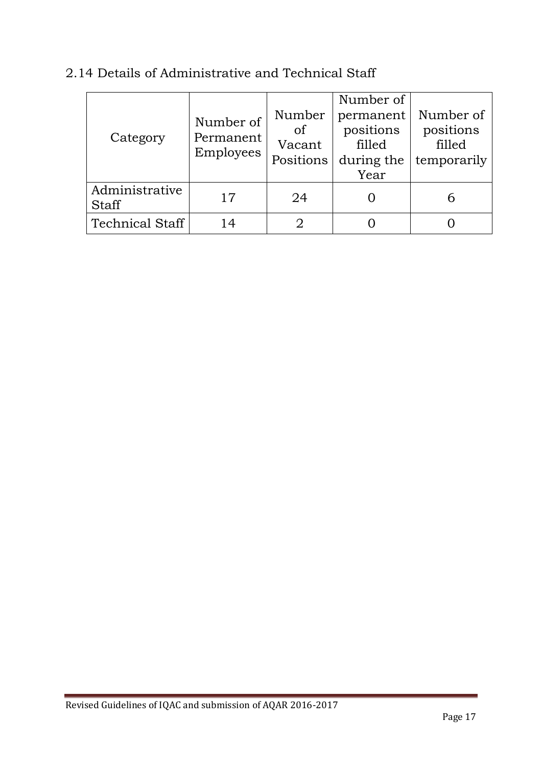| Category                       | Number of<br>Permanent<br>Employees | Number<br>of<br>Vacant<br>Positions | Number of<br>permanent<br>positions<br>filled<br>during the<br>Year | Number of<br>positions<br>filled<br>temporarily |
|--------------------------------|-------------------------------------|-------------------------------------|---------------------------------------------------------------------|-------------------------------------------------|
| Administrative<br><b>Staff</b> | 17                                  | 24                                  |                                                                     |                                                 |
| <b>Technical Staff</b>         | 14                                  |                                     |                                                                     |                                                 |

# 2.14 Details of Administrative and Technical Staff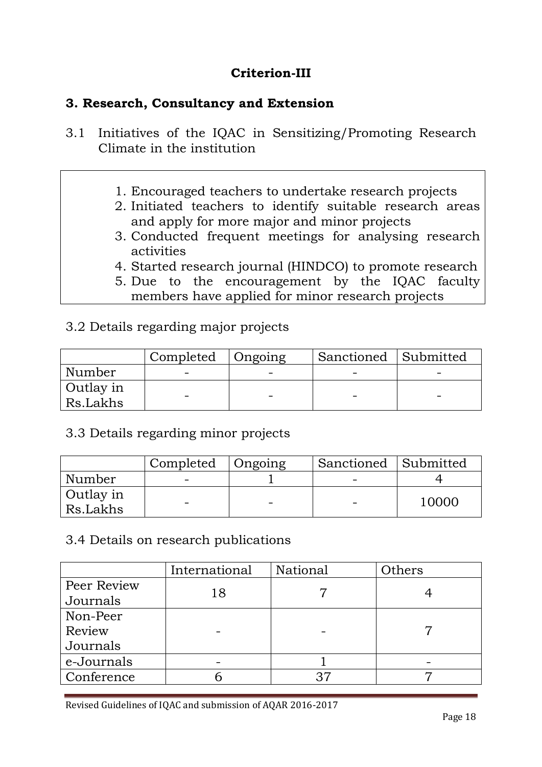# **Criterion-III**

#### **3. Research, Consultancy and Extension**

- 3.1 Initiatives of the IQAC in Sensitizing/Promoting Research Climate in the institution
	- 1. Encouraged teachers to undertake research projects
	- 2. Initiated teachers to identify suitable research areas and apply for more major and minor projects
	- 3. Conducted frequent meetings for analysing research activities
	- 4. Started research journal (HINDCO) to promote research
	- 5. Due to the encouragement by the IQAC faculty members have applied for minor research projects

### 3.2 Details regarding major projects

|                       | Completed   Ongoing | Sanctioned Submitted |  |
|-----------------------|---------------------|----------------------|--|
| Number                | -                   |                      |  |
| Outlay in<br>Rs.Lakhs |                     |                      |  |

### 3.3 Details regarding minor projects

|                       | Completed | Ongoing | Sanctioned Submitted |       |
|-----------------------|-----------|---------|----------------------|-------|
| Number                |           |         |                      |       |
| Outlay in<br>Rs.Lakhs | -         |         |                      | 10000 |

#### 3.4 Details on research publications

|             | International | National | Others |
|-------------|---------------|----------|--------|
| Peer Review | 18            |          |        |
| Journals    |               |          |        |
| Non-Peer    |               |          |        |
| Review      |               |          |        |
| Journals    |               |          |        |
| e-Journals  |               |          |        |
| Conference  |               | 37       |        |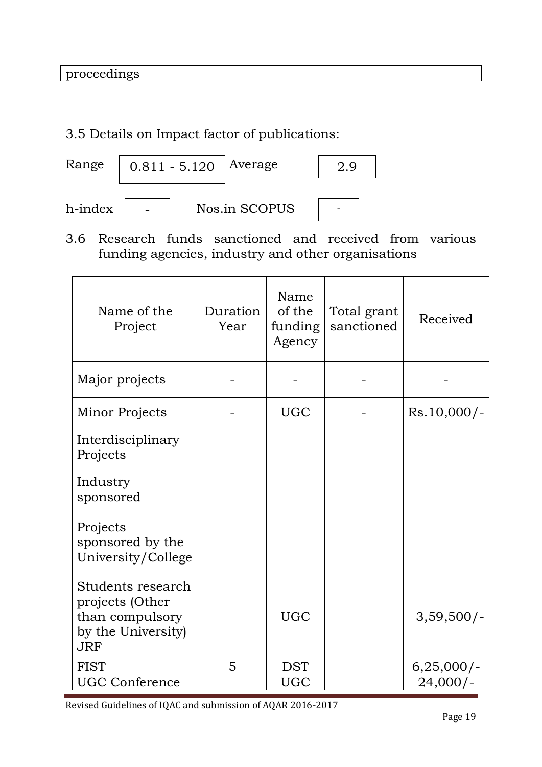|--|

### 3.5 Details on Impact factor of publications:



3.6 Research funds sanctioned and received from various funding agencies, industry and other organisations

| Name of the<br>Project                                                                      | Duration<br>Year | Name<br>of the<br>funding<br>Agency | Total grant<br>sanctioned | Received      |
|---------------------------------------------------------------------------------------------|------------------|-------------------------------------|---------------------------|---------------|
| Major projects                                                                              |                  |                                     |                           |               |
| Minor Projects                                                                              |                  | <b>UGC</b>                          |                           | $Rs.10,000/-$ |
| Interdisciplinary<br>Projects                                                               |                  |                                     |                           |               |
| Industry<br>sponsored                                                                       |                  |                                     |                           |               |
| Projects<br>sponsored by the<br>University/College                                          |                  |                                     |                           |               |
| Students research<br>projects (Other<br>than compulsory<br>by the University)<br><b>JRF</b> |                  | <b>UGC</b>                          |                           | $3,59,500/-$  |
| <b>FIST</b>                                                                                 | 5                | <b>DST</b>                          |                           | $6,25,000/-$  |
| <b>UGC Conference</b>                                                                       |                  | <b>UGC</b>                          |                           | $24,000/-$    |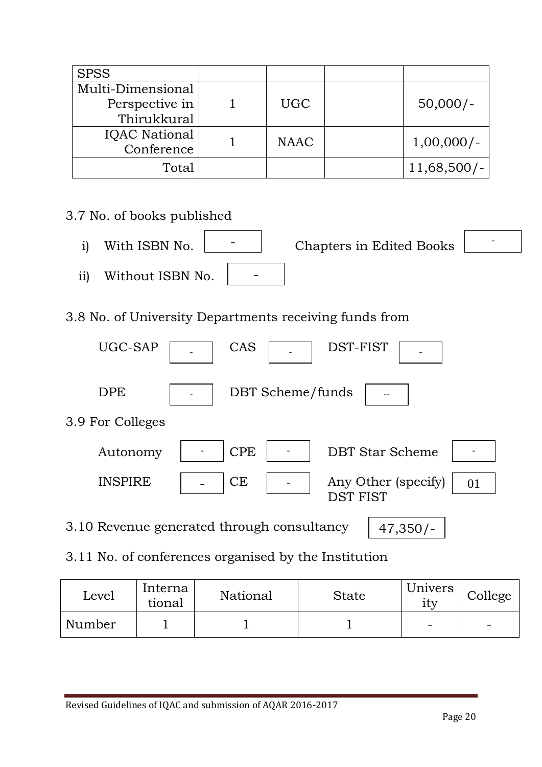| <b>SPSS</b>          |             |               |
|----------------------|-------------|---------------|
| Multi-Dimensional    |             |               |
| Perspective in       | <b>UGC</b>  | $50,000/-$    |
| Thirukkural          |             |               |
| <b>IQAC</b> National | <b>NAAC</b> | $1,00,000/-$  |
| Conference           |             |               |
| Total                |             | $11,68,500/-$ |

# 3.7 No. of books published

- i) With ISBN No. **Chapters** in Edited Books ii) Without ISBN No. - - -
- 3.8 No. of University Departments receiving funds from

| UGC-SAP          | CAS<br>DST-FIST                                           |
|------------------|-----------------------------------------------------------|
| <b>DPE</b>       | DBT Scheme/funds                                          |
| 3.9 For Colleges |                                                           |
| Autonomy         | <b>CPE</b><br><b>DBT Star Scheme</b>                      |
| <b>INSPIRE</b>   | <b>CE</b><br>Any Other (specify)<br>01<br><b>DST FIST</b> |
|                  | 3.10 Revenue generated through consultancy<br>$47,350/-$  |

3.11 No. of conferences organised by the Institution

| Level  | Interna<br>tional | National | State | Univers<br>1ty | College                  |
|--------|-------------------|----------|-------|----------------|--------------------------|
| Number |                   |          |       | -              | $\overline{\phantom{0}}$ |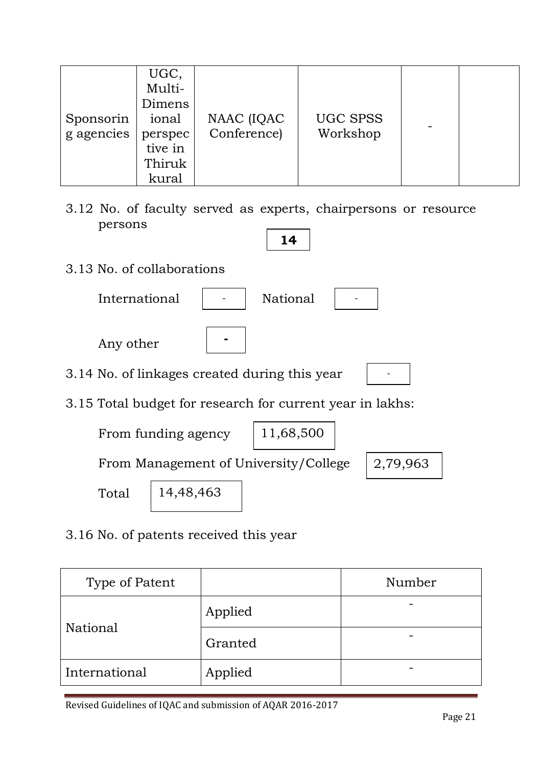| Sponsorin<br>g agencies | UGC,<br>Multi-<br>Dimens<br>ional<br>perspec<br>tive in<br>Thiruk<br>kural | NAAC (IQAC<br>Conference) | <b>UGC SPSS</b><br>Workshop |  |  |
|-------------------------|----------------------------------------------------------------------------|---------------------------|-----------------------------|--|--|
|-------------------------|----------------------------------------------------------------------------|---------------------------|-----------------------------|--|--|

3.12 No. of faculty served as experts, chairpersons or resource persons

**14**

3.13 No. of collaborations

| International                                             | <b>National</b> |
|-----------------------------------------------------------|-----------------|
| Any other                                                 |                 |
| 3.14 No. of linkages created during this year             |                 |
| 3.15 Total budget for research for current year in lakhs: |                 |
| From funding agency                                       | 11,68,500       |

From Management of University/College

2,79,963

Total

14,48,463

3.16 No. of patents received this year

| Type of Patent  |         | Number |
|-----------------|---------|--------|
|                 | Applied |        |
| <b>National</b> | Granted |        |
| International   | Applied |        |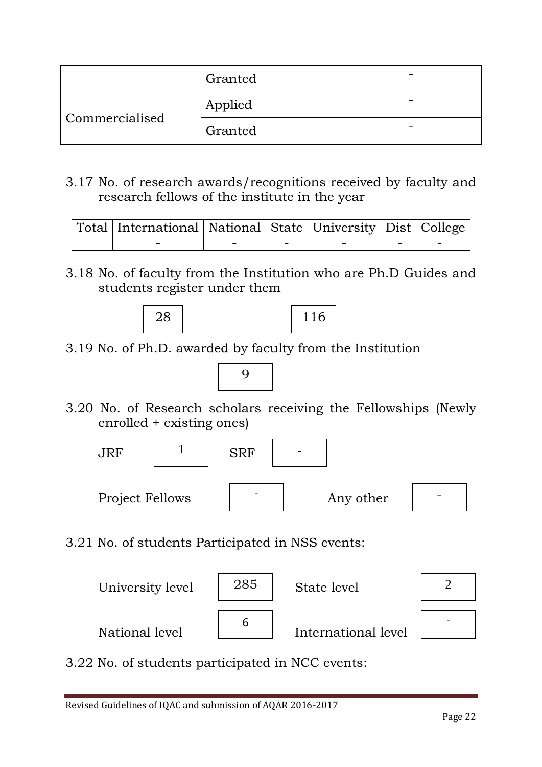|                | Granted |  |
|----------------|---------|--|
|                | Applied |  |
| Commercialised | Granted |  |

3.17 No. of research awards/recognitions received by faculty and research fellows of the institute in the year

| Total   International   National   State   University   Dist   College |  |  |  |
|------------------------------------------------------------------------|--|--|--|
|                                                                        |  |  |  |

3.18 No. of faculty from the Institution who are Ph.D Guides and students register under them





3.19 No. of Ph.D. awarded by faculty from the Institution



3.20 No. of Research scholars receiving the Fellowships (Newly enrolled + existing ones)



3.21 No. of students Participated in NSS events:



3.22 No. of students participated in NCC events: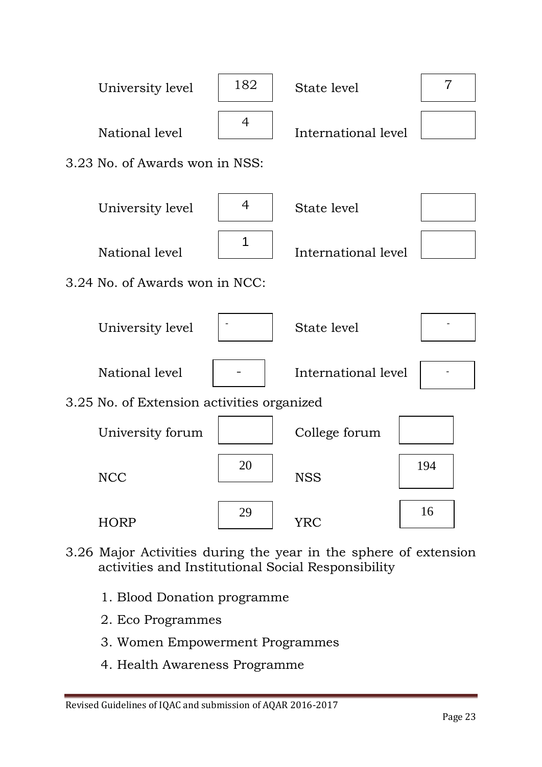

- 3.26 Major Activities during the year in the sphere of extension activities and Institutional Social Responsibility
	- 1. Blood Donation programme
	- 2. Eco Programmes
	- 3. Women Empowerment Programmes
	- 4. Health Awareness Programme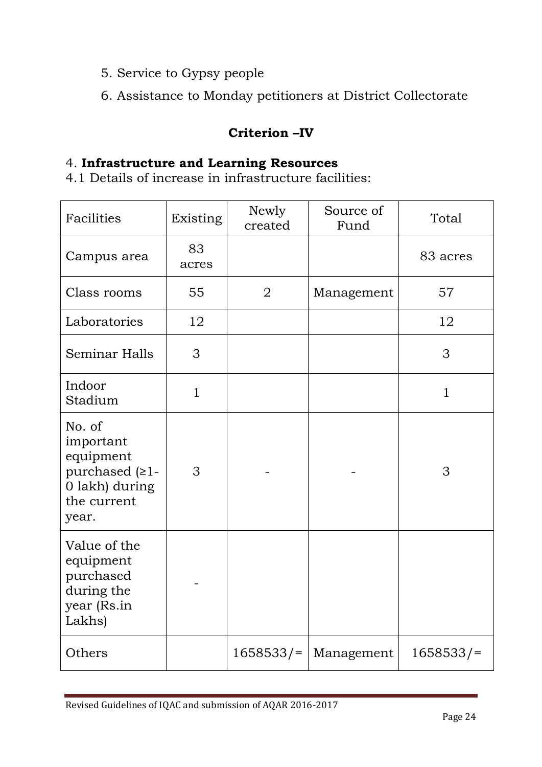- 5. Service to Gypsy people
- 6. Assistance to Monday petitioners at District Collectorate

# **Criterion –IV**

#### 4. **Infrastructure and Learning Resources**

4.1 Details of increase in infrastructure facilities:

| Facilities                                                                                      | Existing     | Newly<br>created | Source of<br>Fund | Total        |
|-------------------------------------------------------------------------------------------------|--------------|------------------|-------------------|--------------|
| Campus area                                                                                     | 83<br>acres  |                  |                   | 83 acres     |
| Class rooms                                                                                     | 55           | $\overline{2}$   | Management        | 57           |
| Laboratories                                                                                    | 12           |                  |                   | 12           |
| <b>Seminar Halls</b>                                                                            | 3            |                  |                   | 3            |
| Indoor<br>Stadium                                                                               | $\mathbf{1}$ |                  |                   | $\mathbf{1}$ |
| No. of<br>important<br>equipment<br>purchased $(21 -$<br>0 lakh) during<br>the current<br>year. | 3            |                  |                   | 3            |
| Value of the<br>equipment<br>purchased<br>during the<br>year (Rs.in<br>Lakhs)                   |              |                  |                   |              |
| Others                                                                                          |              | $1658533/$ =     | Management        | $1658533/$ = |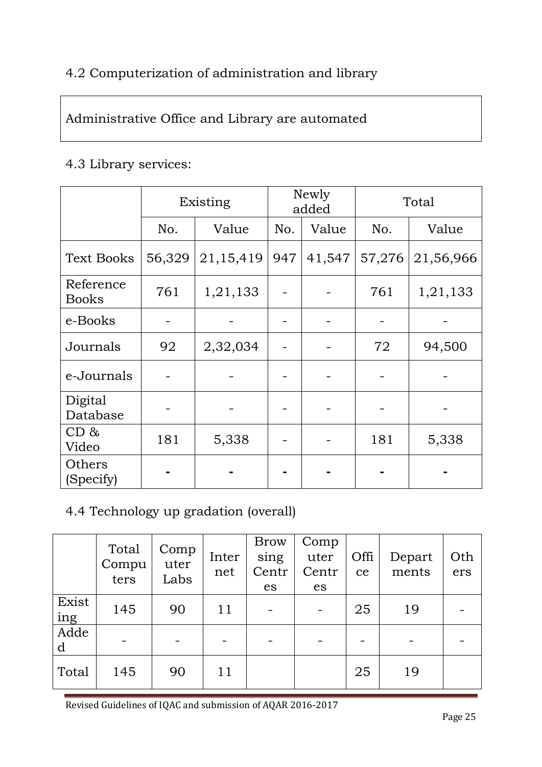# 4.2 Computerization of administration and library

# Administrative Office and Library are automated

#### 4.3 Library services:

|                           | Existing |           | Newly<br>added |        | Total  |           |
|---------------------------|----------|-----------|----------------|--------|--------|-----------|
|                           | No.      | Value     | No.            | Value  | No.    | Value     |
| <b>Text Books</b>         | 56,329   | 21,15,419 | 947            | 41,547 | 57,276 | 21,56,966 |
| Reference<br><b>Books</b> | 761      | 1,21,133  |                |        | 761    | 1,21,133  |
| e-Books                   |          |           |                |        |        |           |
| Journals                  | 92       | 2,32,034  |                |        | 72     | 94,500    |
| e-Journals                |          |           |                |        |        |           |
| Digital<br>Database       |          |           |                |        |        |           |
| CD &<br>Video             | 181      | 5,338     |                |        | 181    | 5,338     |
| Others<br>(Specify)       |          |           |                |        |        |           |

# 4.4 Technology up gradation (overall)

|              | Total<br>Compu<br>ters | Comp<br>uter<br>Labs | Inter<br>net | <b>Brow</b><br>sing<br>Centr<br>es | Comp<br>uter<br>Centr<br>es | Offi<br>ce | Depart<br>ments | Oth<br>ers |
|--------------|------------------------|----------------------|--------------|------------------------------------|-----------------------------|------------|-----------------|------------|
| Exist<br>ing | 145                    | 90                   | 11           |                                    |                             | 25         | 19              |            |
| Adde<br>d    |                        |                      |              |                                    |                             |            |                 |            |
| Total        | 145                    | 90                   | 11           |                                    |                             | 25         | 19              |            |

Revised Guidelines of IQAC and submission of AQAR 2016-2017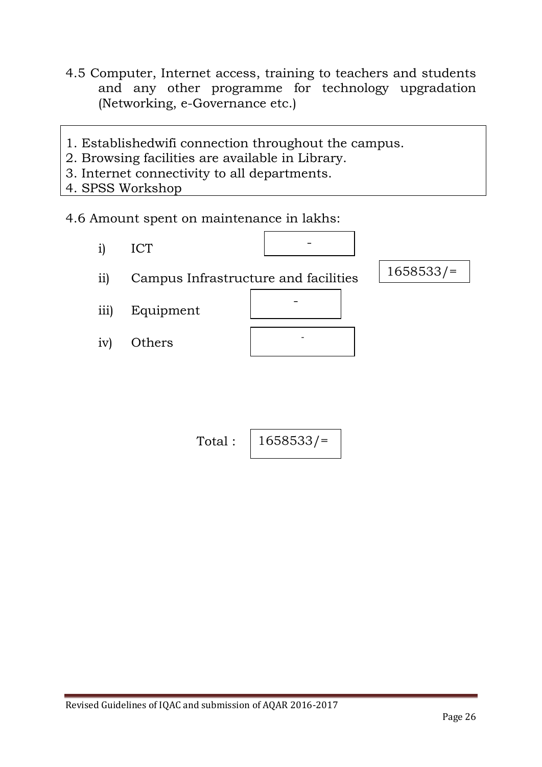- 4.5 Computer, Internet access, training to teachers and students and any other programme for technology upgradation (Networking, e-Governance etc.)
- 1. Establishedwifi connection throughout the campus.
- 2. Browsing facilities are available in Library.
- 3. Internet connectivity to all departments.
- 4. SPSS Workshop
- 4.6 Amount spent on maintenance in lakhs:
- i) ICT ii) Campus Infrastructure and facilities iii) Equipment iv) Others - 1658533/= - -

Total: 
$$
\int 1658533 / =
$$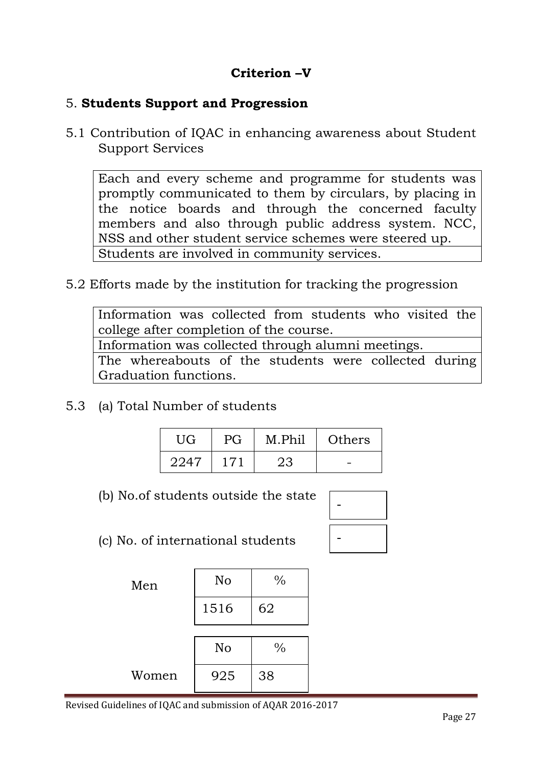# **Criterion –V**

#### 5. **Students Support and Progression**

5.1 Contribution of IQAC in enhancing awareness about Student Support Services

Each and every scheme and programme for students was promptly communicated to them by circulars, by placing in the notice boards and through the concerned faculty members and also through public address system. NCC, NSS and other student service schemes were steered up. Students are involved in community services.

5.2 Efforts made by the institution for tracking the progression

Information was collected from students who visited the college after completion of the course. Information was collected through alumni meetings.

The whereabouts of the students were collected during Graduation functions.

5.3 (a) Total Number of students

| UG   | PG  | M.Phil | Others |
|------|-----|--------|--------|
| 2247 | 171 | 23     |        |

(b) No.of students outside the state

| -- |  |
|----|--|

(c) No. of international students

| Men   | No   | $\frac{0}{0}$ |
|-------|------|---------------|
|       | 1516 | 62            |
|       |      |               |
|       | No   | $\frac{0}{0}$ |
| Women | 925  | 38            |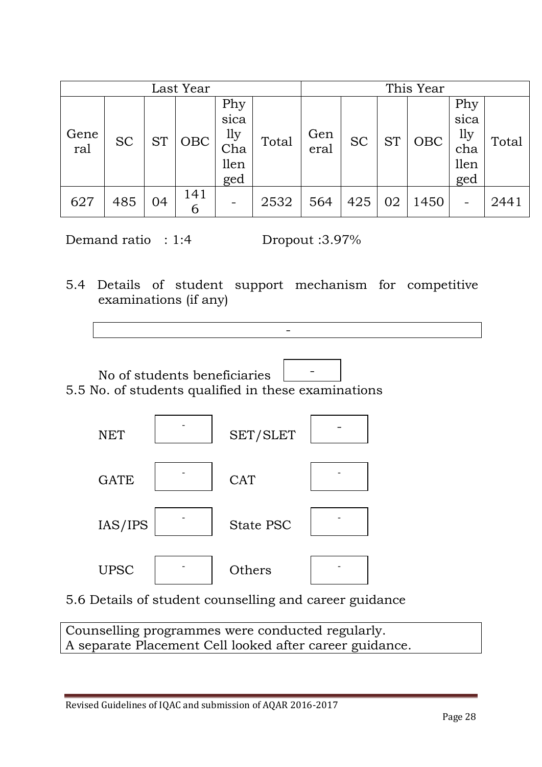|             |           |           | Last Year |                                          |       |             |           |           | This Year |                                          |       |
|-------------|-----------|-----------|-----------|------------------------------------------|-------|-------------|-----------|-----------|-----------|------------------------------------------|-------|
| Gene<br>ral | <b>SC</b> | <b>ST</b> | OBC       | Phy<br>sica<br>lly<br>Cha<br>llen<br>ged | Total | Gen<br>eral | <b>SC</b> | <b>ST</b> | OBC       | Phy<br>sica<br>1ly<br>cha<br>llen<br>ged | Total |
| 627         | 485       | 04        | 141<br>6  |                                          | 2532  | 564         | 425       | 02        | 1450      |                                          | 2441  |

Demand ratio : 1:4 Dropout :3.97%

5.4 Details of student support mechanism for competitive examinations (if any)

-





5.6 Details of student counselling and career guidance

Counselling programmes were conducted regularly. A separate Placement Cell looked after career guidance.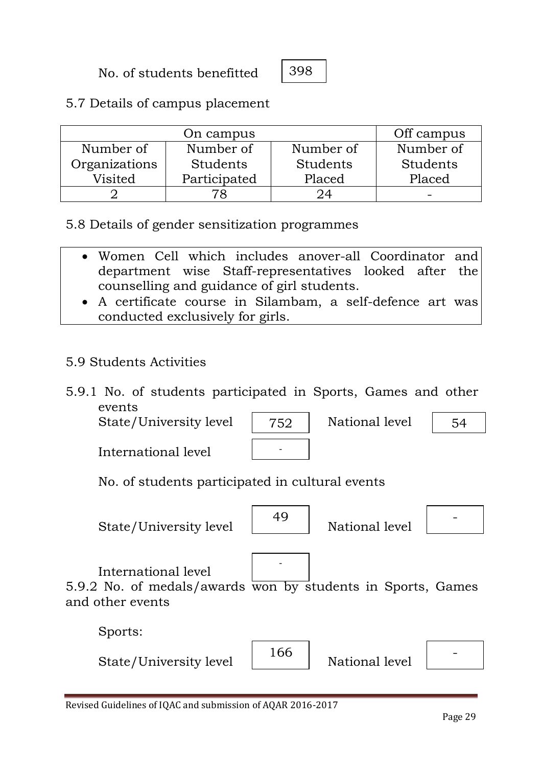No. of students benefitted

398

5.7 Details of campus placement

|               | On campus       |           | Off campus |
|---------------|-----------------|-----------|------------|
| Number of     | Number of       | Number of | Number of  |
| Organizations | <b>Students</b> | Students  | Students   |
| Visited       | Participated    | Placed    | Placed     |
|               |                 |           |            |

5.8 Details of gender sensitization programmes

- Women Cell which includes anover-all Coordinator and department wise Staff-representatives looked after the counselling and guidance of girl students.
- A certificate course in Silambam, a self-defence art was conducted exclusively for girls.
- 5.9 Students Activities
- 5.9.1 No. of students participated in Sports, Games and other events

State/University level  $\begin{array}{|c|c|c|} \hline 752 & \hline \end{array}$  National level

International level

| 752 |  |
|-----|--|
|     |  |

No. of students participated in cultural events

State/University level



 $\begin{array}{c|c} 49 & \text{National level} \end{array}$ 



54

International level

5.9.2 No. of medals/awards won by students in Sports, Games and other events

-

Sports:

| State/University level |  | National level |  |
|------------------------|--|----------------|--|
|------------------------|--|----------------|--|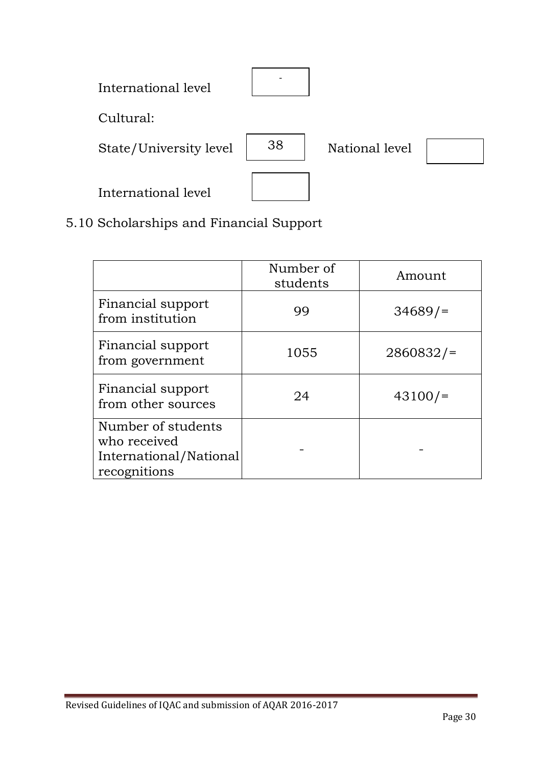| International level    |    |                |  |
|------------------------|----|----------------|--|
| Cultural:              |    |                |  |
| State/University level | 38 | National level |  |
| International level    |    |                |  |

5.10 Scholarships and Financial Support

|                                                                              | Number of<br>students | Amount   |
|------------------------------------------------------------------------------|-----------------------|----------|
| Financial support<br>from institution                                        | 99                    | 34689/   |
| Financial support<br>from government                                         | 1055                  | 2860832/ |
| Financial support<br>from other sources                                      | 24                    | 43100/   |
| Number of students<br>who received<br>International/National<br>recognitions |                       |          |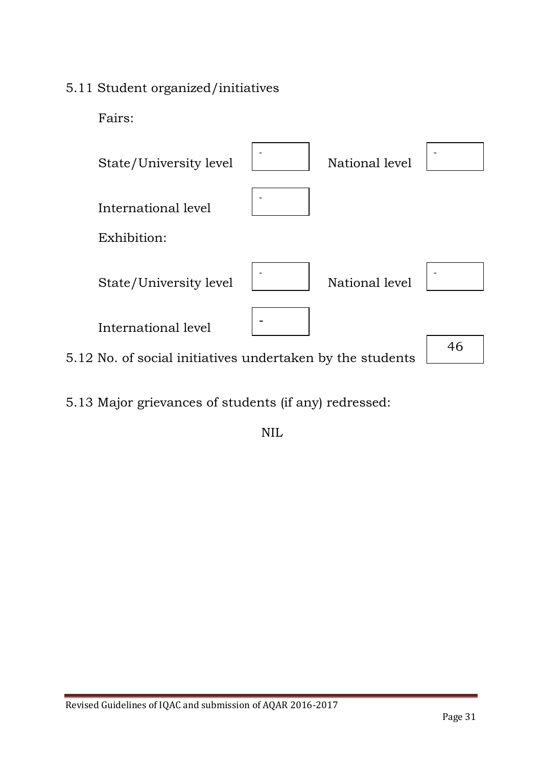### 5.11 Student organized/initiatives

Fairs:



5.13 Major grievances of students (if any) redressed:

NIL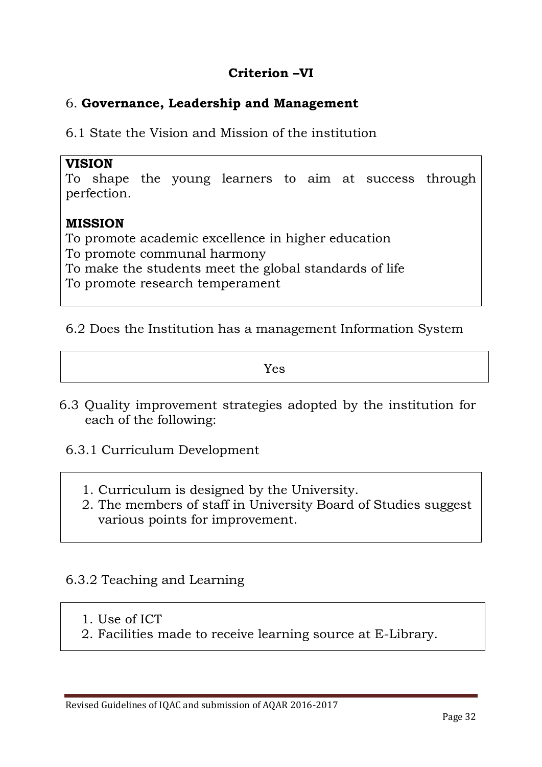### **Criterion –VI**

#### 6. **Governance, Leadership and Management**

6.1 State the Vision and Mission of the institution

#### **VISION**

To shape the young learners to aim at success through perfection.

#### **MISSION**

To promote academic excellence in higher education To promote communal harmony To make the students meet the global standards of life To promote research temperament

#### 6.2 Does the Institution has a management Information System

Yes

- 6.3 Quality improvement strategies adopted by the institution for each of the following:
	- 6.3.1 Curriculum Development
		- 1. Curriculum is designed by the University.
		- 2. The members of staff in University Board of Studies suggest various points for improvement.

#### 6.3.2 Teaching and Learning

- 1. Use of ICT
- 2. Facilities made to receive learning source at E-Library.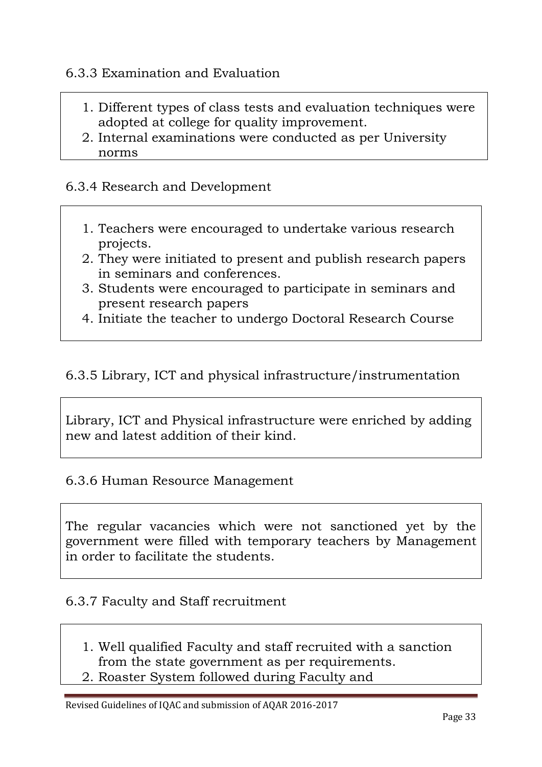#### 6.3.3 Examination and Evaluation

- 1. Different types of class tests and evaluation techniques were adopted at college for quality improvement.
- 2. Internal examinations were conducted as per University norms

#### 6.3.4 Research and Development

- 1. Teachers were encouraged to undertake various research projects.
- 2. They were initiated to present and publish research papers in seminars and conferences.
- 3. Students were encouraged to participate in seminars and present research papers
- 4. Initiate the teacher to undergo Doctoral Research Course

#### 6.3.5 Library, ICT and physical infrastructure/instrumentation

Library, ICT and Physical infrastructure were enriched by adding new and latest addition of their kind.

#### 6.3.6 Human Resource Management

The regular vacancies which were not sanctioned yet by the government were filled with temporary teachers by Management in order to facilitate the students.

#### 6.3.7 Faculty and Staff recruitment

- 1. Well qualified Faculty and staff recruited with a sanction from the state government as per requirements.
- 2. Roaster System followed during Faculty and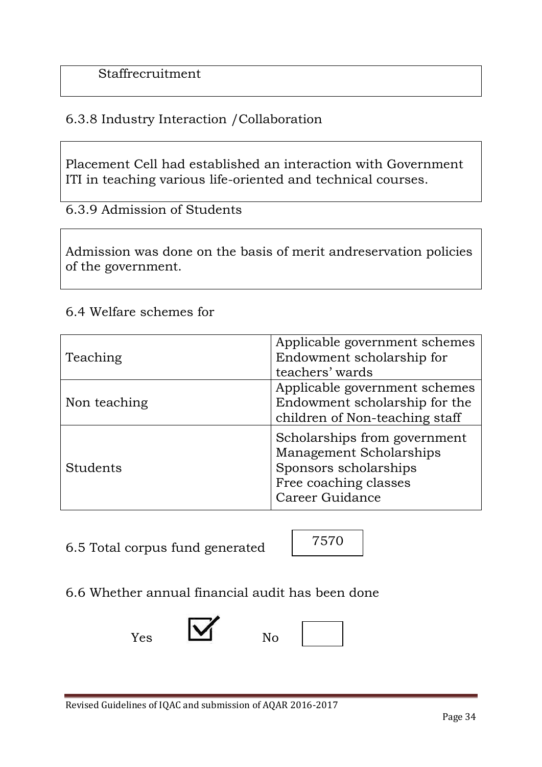### 6.3.8 Industry Interaction /Collaboration

Placement Cell had established an interaction with Government ITI in teaching various life-oriented and technical courses.

6.3.9 Admission of Students

Admission was done on the basis of merit andreservation policies of the government.

#### 6.4 Welfare schemes for

| Teaching     | Applicable government schemes<br>Endowment scholarship for<br>teachers' wards                                                |
|--------------|------------------------------------------------------------------------------------------------------------------------------|
| Non teaching | Applicable government schemes<br>Endowment scholarship for the<br>children of Non-teaching staff                             |
| Students     | Scholarships from government<br>Management Scholarships<br>Sponsors scholarships<br>Free coaching classes<br>Career Guidance |

6.5 Total corpus fund generated



6.6 Whether annual financial audit has been done



| I |  |
|---|--|
|   |  |
|   |  |
|   |  |
|   |  |
|   |  |
|   |  |
|   |  |
|   |  |
|   |  |
|   |  |
|   |  |
|   |  |
|   |  |
|   |  |
|   |  |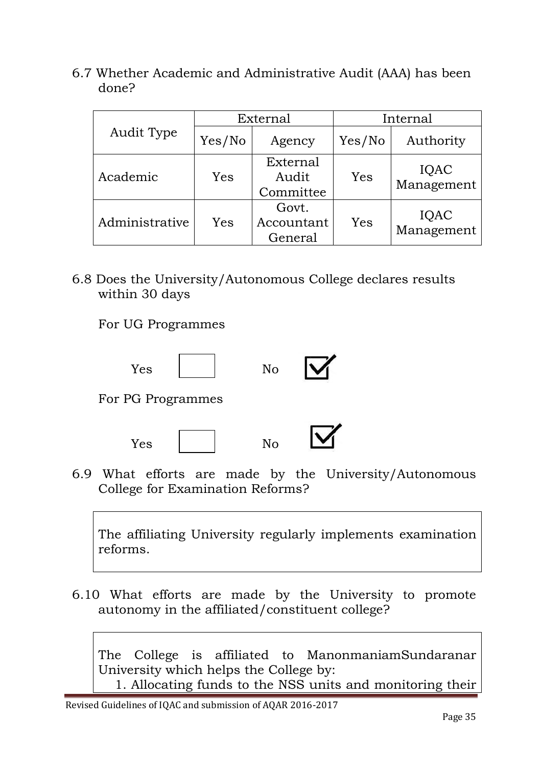6.7 Whether Academic and Administrative Audit (AAA) has been done?

| Audit Type     | External |                                | Internal |                    |
|----------------|----------|--------------------------------|----------|--------------------|
|                | Yes/No   | Agency                         | Yes/No   | Authority          |
| Academic       | Yes      | External<br>Audit<br>Committee | Yes      | IQAC<br>Management |
| Administrative | Yes      | Govt.<br>Accountant<br>General | Yes      | IQAC<br>Management |

6.8 Does the University/Autonomous College declares results within 30 days

For UG Programmes





6.9 What efforts are made by the University/Autonomous College for Examination Reforms?

The affiliating University regularly implements examination reforms.

6.10 What efforts are made by the University to promote autonomy in the affiliated/constituent college?

The College is affiliated to ManonmaniamSundaranar University which helps the College by:

1. Allocating funds to the NSS units and monitoring their

Revised Guidelines of IQAC and submission of AQAR 2016-2017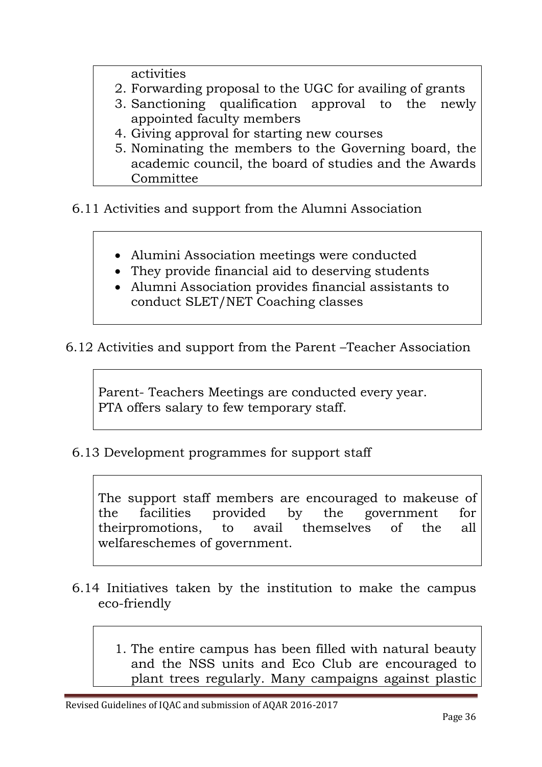activities

- 2. Forwarding proposal to the UGC for availing of grants
- 3. Sanctioning qualification approval to the newly appointed faculty members
- 4. Giving approval for starting new courses
- 5. Nominating the members to the Governing board, the academic council, the board of studies and the Awards Committee

6.11 Activities and support from the Alumni Association

- Alumini Association meetings were conducted
- They provide financial aid to deserving students
- Alumni Association provides financial assistants to conduct SLET/NET Coaching classes
- 6.12 Activities and support from the Parent –Teacher Association

Parent- Teachers Meetings are conducted every year. PTA offers salary to few temporary staff.

6.13 Development programmes for support staff

The support staff members are encouraged to makeuse of the facilities provided by the government for theirpromotions, to avail themselves of the all welfareschemes of government.

- 6.14 Initiatives taken by the institution to make the campus eco-friendly
	- 1. The entire campus has been filled with natural beauty and the NSS units and Eco Club are encouraged to plant trees regularly. Many campaigns against plastic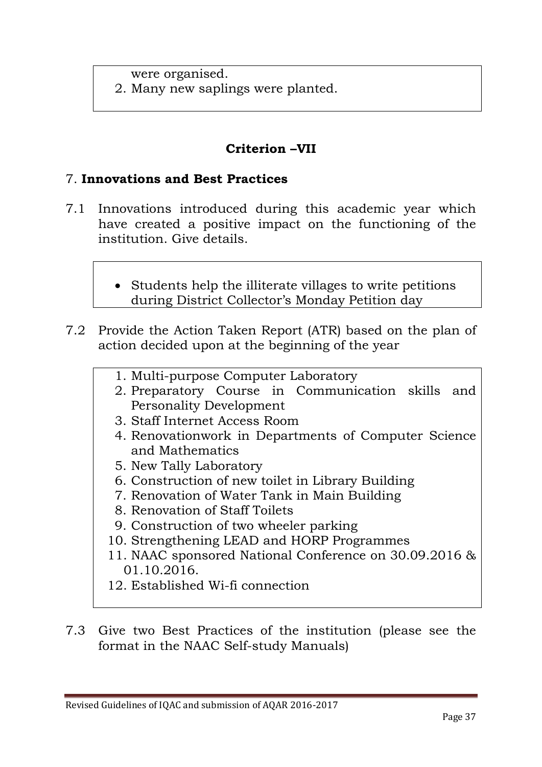were organised.

2. Many new saplings were planted.

### **Criterion –VII**

#### 7. **Innovations and Best Practices**

- 7.1 Innovations introduced during this academic year which have created a positive impact on the functioning of the institution. Give details.
	- Students help the illiterate villages to write petitions during District Collector's Monday Petition day
- 7.2 Provide the Action Taken Report (ATR) based on the plan of action decided upon at the beginning of the year
	- 1. Multi-purpose Computer Laboratory
	- 2. Preparatory Course in Communication skills and Personality Development
	- 3. Staff Internet Access Room
	- 4. Renovationwork in Departments of Computer Science and Mathematics
	- 5. New Tally Laboratory
	- 6. Construction of new toilet in Library Building
	- 7. Renovation of Water Tank in Main Building
	- 8. Renovation of Staff Toilets
	- 9. Construction of two wheeler parking
	- 10. Strengthening LEAD and HORP Programmes
	- 11. NAAC sponsored National Conference on 30.09.2016 & 01.10.2016.
	- 12. Established Wi-fi connection
- 7.3 Give two Best Practices of the institution (please see the format in the NAAC Self-study Manuals)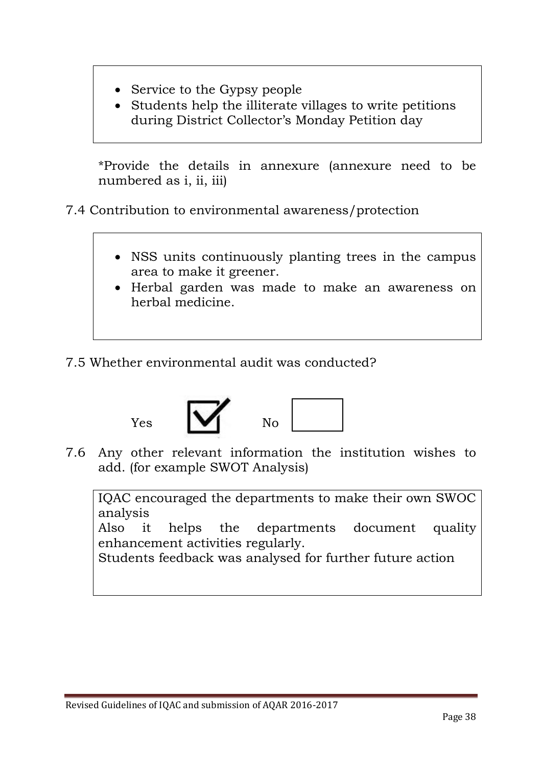- Service to the Gypsy people
- Students help the illiterate villages to write petitions during District Collector's Monday Petition day

\*Provide the details in annexure (annexure need to be numbered as i, ii, iii)

7.4 Contribution to environmental awareness/protection

- NSS units continuously planting trees in the campus area to make it greener.
- Herbal garden was made to make an awareness on herbal medicine.
- 7.5 Whether environmental audit was conducted?



7.6 Any other relevant information the institution wishes to add. (for example SWOT Analysis)

IQAC encouraged the departments to make their own SWOC analysis

Also it helps the departments document quality enhancement activities regularly.

Students feedback was analysed for further future action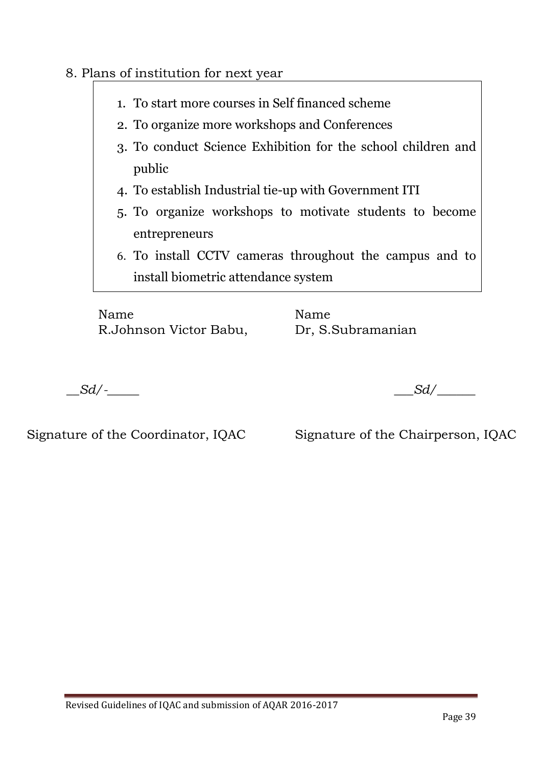### 8. Plans of institution for next year

- 1. To start more courses in Self financed scheme
- 2. To organize more workshops and Conferences
- 3. To conduct Science Exhibition for the school children and public
- 4. To establish Industrial tie-up with Government ITI
- 5. To organize workshops to motivate students to become entrepreneurs
- 6. To install CCTV cameras throughout the campus and to install biometric attendance system

Name Name R.Johnson Victor Babu, Dr, S.Subramanian

 $Sd$ <sup>-</sup>

Signature of the Coordinator, IQAC Signature of the Chairperson, IQAC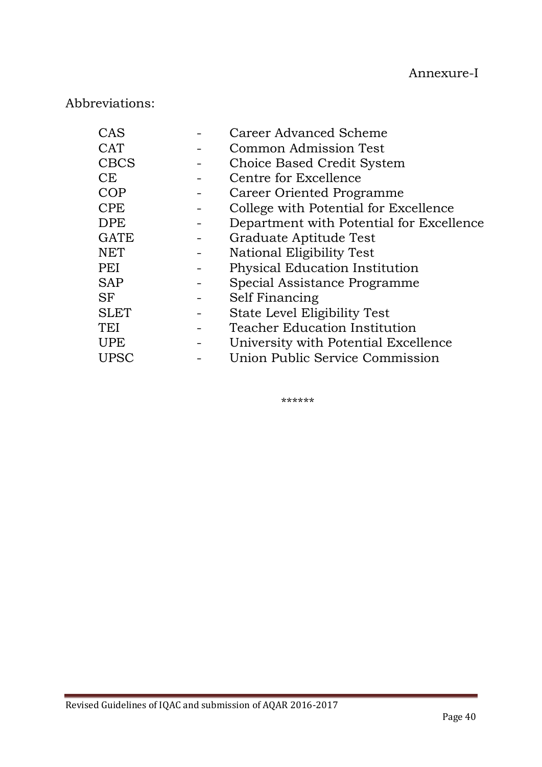# Abbreviations:

| CAS         | <b>Career Advanced Scheme</b>            |
|-------------|------------------------------------------|
| <b>CAT</b>  | Common Admission Test                    |
| <b>CBCS</b> | Choice Based Credit System               |
| <b>CE</b>   | Centre for Excellence                    |
| <b>COP</b>  | Career Oriented Programme                |
| <b>CPE</b>  | College with Potential for Excellence    |
| <b>DPE</b>  | Department with Potential for Excellence |
| <b>GATE</b> | Graduate Aptitude Test                   |
| <b>NET</b>  | National Eligibility Test                |
| PEI         | Physical Education Institution           |
| <b>SAP</b>  | Special Assistance Programme             |
| <b>SF</b>   | Self Financing                           |
| <b>SLET</b> | State Level Eligibility Test             |
| TEI         | <b>Teacher Education Institution</b>     |
| <b>UPE</b>  | University with Potential Excellence     |
| <b>UPSC</b> | Union Public Service Commission          |

\*\*\*\*\*\*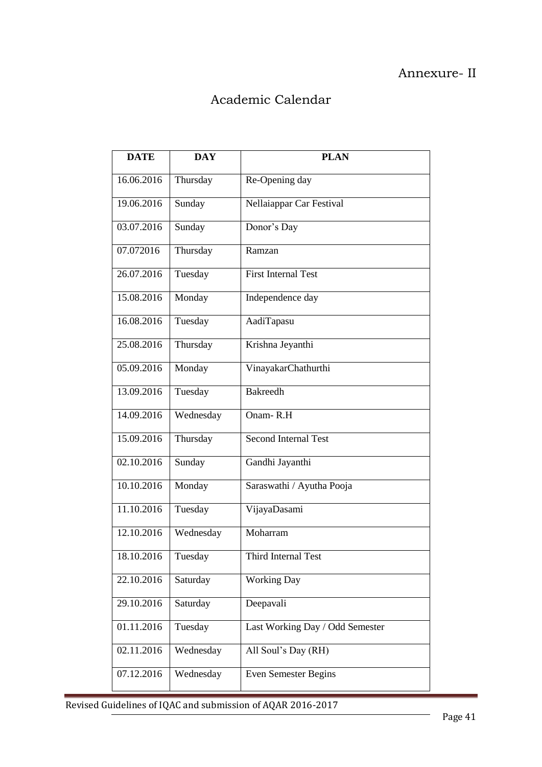### Annexure- II

# Academic Calendar

| <b>DATE</b> | <b>DAY</b> | <b>PLAN</b>                     |
|-------------|------------|---------------------------------|
| 16.06.2016  | Thursday   | Re-Opening day                  |
| 19.06.2016  | Sunday     | Nellaiappar Car Festival        |
| 03.07.2016  | Sunday     | Donor's Day                     |
| 07.072016   | Thursday   | Ramzan                          |
| 26.07.2016  | Tuesday    | <b>First Internal Test</b>      |
| 15.08.2016  | Monday     | Independence day                |
| 16.08.2016  | Tuesday    | AadiTapasu                      |
| 25.08.2016  | Thursday   | Krishna Jeyanthi                |
| 05.09.2016  | Monday     | VinayakarChathurthi             |
| 13.09.2016  | Tuesday    | <b>Bakreedh</b>                 |
| 14.09.2016  | Wednesday  | Onam-R.H                        |
| 15.09.2016  | Thursday   | <b>Second Internal Test</b>     |
| 02.10.2016  | Sunday     | Gandhi Jayanthi                 |
| 10.10.2016  | Monday     | Saraswathi / Ayutha Pooja       |
| 11.10.2016  | Tuesday    | VijayaDasami                    |
| 12.10.2016  | Wednesday  | Moharram                        |
| 18.10.2016  | Tuesday    | Third Internal Test             |
| 22.10.2016  | Saturday   | <b>Working Day</b>              |
| 29.10.2016  | Saturday   | Deepavali                       |
| 01.11.2016  | Tuesday    | Last Working Day / Odd Semester |
| 02.11.2016  | Wednesday  | All Soul's Day (RH)             |
| 07.12.2016  | Wednesday  | Even Semester Begins            |

Revised Guidelines of IQAC and submission of AQAR 2016-2017